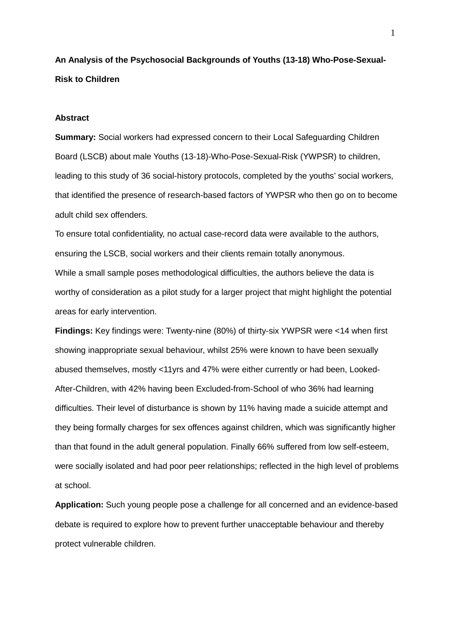**An Analysis of the Psychosocial Backgrounds of Youths (13-18) Who-Pose-Sexual-Risk to Children**

#### **Abstract**

**Summary:** Social workers had expressed concern to their Local Safeguarding Children Board (LSCB) about male Youths (13-18)-Who-Pose-Sexual-Risk (YWPSR) to children, leading to this study of 36 social-history protocols, completed by the youths' social workers, that identified the presence of research-based factors of YWPSR who then go on to become adult child sex offenders.

To ensure total confidentiality, no actual case-record data were available to the authors, ensuring the LSCB, social workers and their clients remain totally anonymous. While a small sample poses methodological difficulties, the authors believe the data is worthy of consideration as a pilot study for a larger project that might highlight the potential areas for early intervention.

**Findings:** Key findings were: Twenty-nine (80%) of thirty-six YWPSR were <14 when first showing inappropriate sexual behaviour, whilst 25% were known to have been sexually abused themselves, mostly <11yrs and 47% were either currently or had been, Looked-After-Children, with 42% having been Excluded-from-School of who 36% had learning difficulties. Their level of disturbance is shown by 11% having made a suicide attempt and they being formally charges for sex offences against children, which was significantly higher than that found in the adult general population. Finally 66% suffered from low self-esteem, were socially isolated and had poor peer relationships; reflected in the high level of problems at school.

**Application:** Such young people pose a challenge for all concerned and an evidence-based debate is required to explore how to prevent further unacceptable behaviour and thereby protect vulnerable children.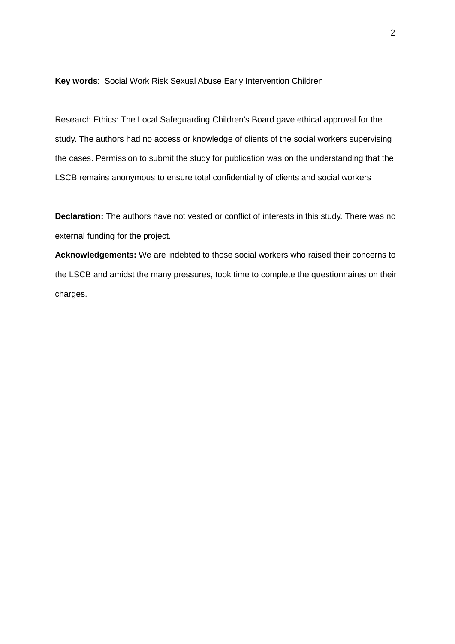**Key words**: Social Work Risk Sexual Abuse Early Intervention Children

Research Ethics: The Local Safeguarding Children's Board gave ethical approval for the study. The authors had no access or knowledge of clients of the social workers supervising the cases. Permission to submit the study for publication was on the understanding that the LSCB remains anonymous to ensure total confidentiality of clients and social workers

**Declaration:** The authors have not vested or conflict of interests in this study. There was no external funding for the project.

**Acknowledgements:** We are indebted to those social workers who raised their concerns to the LSCB and amidst the many pressures, took time to complete the questionnaires on their charges.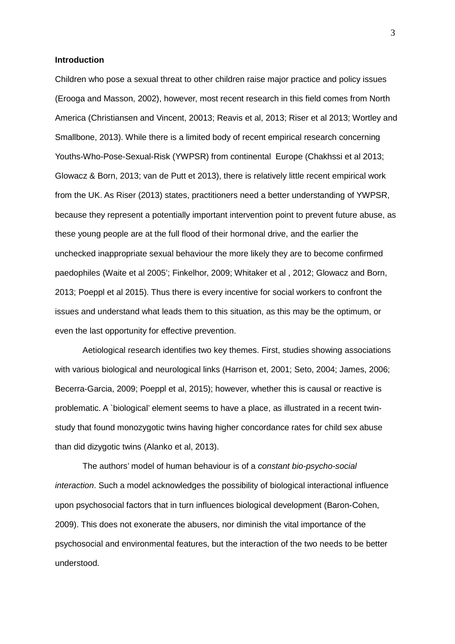#### **Introduction**

Children who pose a sexual threat to other children raise major practice and policy issues (Erooga and Masson, 2002), however, most recent research in this field comes from North America (Christiansen and Vincent, 20013; Reavis et al, 2013; Riser et al 2013; Wortley and Smallbone, 2013). While there is a limited body of recent empirical research concerning Youths-Who-Pose-Sexual-Risk (YWPSR) from continental Europe (Chakhssi et al 2013; Glowacz & Born, 2013; van de Putt et 2013), there is relatively little recent empirical work from the UK. As Riser (2013) states, practitioners need a better understanding of YWPSR, because they represent a potentially important intervention point to prevent future abuse, as these young people are at the full flood of their hormonal drive, and the earlier the unchecked inappropriate sexual behaviour the more likely they are to become confirmed paedophiles (Waite et al 2005'; Finkelhor, 2009; Whitaker et al , 2012; Glowacz and Born, 2013; Poeppl et al 2015). Thus there is every incentive for social workers to confront the issues and understand what leads them to this situation, as this may be the optimum, or even the last opportunity for effective prevention.

Aetiological research identifies two key themes. First, studies showing associations with various biological and neurological links (Harrison et, 2001; Seto, 2004; James, 2006; Becerra-Garcia, 2009; Poeppl et al, 2015); however, whether this is causal or reactive is problematic. A `biological' element seems to have a place, as illustrated in a recent twinstudy that found monozygotic twins having higher concordance rates for child sex abuse than did dizygotic twins (Alanko et al, 2013).

The authors' model of human behaviour is of a *constant bio-psycho-social interaction*. Such a model acknowledges the possibility of biological interactional influence upon psychosocial factors that in turn influences biological development (Baron-Cohen, 2009). This does not exonerate the abusers, nor diminish the vital importance of the psychosocial and environmental features, but the interaction of the two needs to be better understood.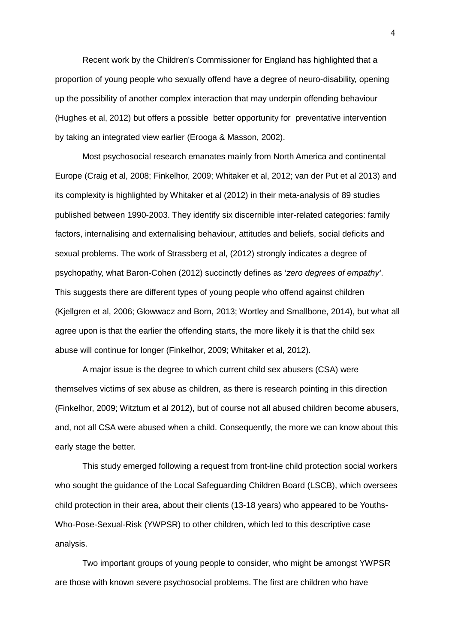Recent work by the Children's Commissioner for England has highlighted that a proportion of young people who sexually offend have a degree of neuro-disability, opening up the possibility of another complex interaction that may underpin offending behaviour (Hughes et al, 2012) but offers a possible better opportunity for preventative intervention by taking an integrated view earlier (Erooga & Masson, 2002).

Most psychosocial research emanates mainly from North America and continental Europe (Craig et al, 2008; Finkelhor, 2009; Whitaker et al, 2012; van der Put et al 2013) and its complexity is highlighted by Whitaker et al (2012) in their meta-analysis of 89 studies published between 1990-2003. They identify six discernible inter-related categories: family factors, internalising and externalising behaviour, attitudes and beliefs, social deficits and sexual problems. The work of Strassberg et al, (2012) strongly indicates a degree of psychopathy, what Baron-Cohen (2012) succinctly defines as '*zero degrees of empathy'*. This suggests there are different types of young people who offend against children (Kjellgren et al, 2006; Glowwacz and Born, 2013; Wortley and Smallbone, 2014), but what all agree upon is that the earlier the offending starts, the more likely it is that the child sex abuse will continue for longer (Finkelhor, 2009; Whitaker et al, 2012).

A major issue is the degree to which current child sex abusers (CSA) were themselves victims of sex abuse as children, as there is research pointing in this direction (Finkelhor, 2009; Witztum et al 2012), but of course not all abused children become abusers, and, not all CSA were abused when a child. Consequently, the more we can know about this early stage the better.

This study emerged following a request from front-line child protection social workers who sought the guidance of the Local Safeguarding Children Board (LSCB), which oversees child protection in their area, about their clients (13-18 years) who appeared to be Youths-Who-Pose-Sexual-Risk (YWPSR) to other children, which led to this descriptive case analysis.

Two important groups of young people to consider, who might be amongst YWPSR are those with known severe psychosocial problems. The first are children who have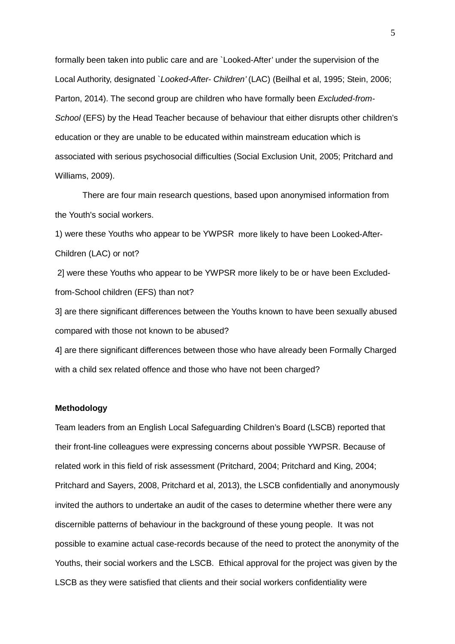formally been taken into public care and are `Looked-After' under the supervision of the Local Authority, designated `*Looked-After- Children'* (LAC) (Beilhal et al, 1995; Stein, 2006; Parton, 2014). The second group are children who have formally been *Excluded-from-School* (EFS) by the Head Teacher because of behaviour that either disrupts other children's education or they are unable to be educated within mainstream education which is associated with serious psychosocial difficulties (Social Exclusion Unit, 2005; Pritchard and Williams, 2009).

There are four main research questions, based upon anonymised information from the Youth's social workers.

1) were these Youths who appear to be YWPSR more likely to have been Looked-After-Children (LAC) or not?

2] were these Youths who appear to be YWPSR more likely to be or have been Excludedfrom-School children (EFS) than not?

3] are there significant differences between the Youths known to have been sexually abused compared with those not known to be abused?

4] are there significant differences between those who have already been Formally Charged with a child sex related offence and those who have not been charged?

#### **Methodology**

Team leaders from an English Local Safeguarding Children's Board (LSCB) reported that their front-line colleagues were expressing concerns about possible YWPSR. Because of related work in this field of risk assessment (Pritchard, 2004; Pritchard and King, 2004; Pritchard and Sayers, 2008, Pritchard et al, 2013), the LSCB confidentially and anonymously invited the authors to undertake an audit of the cases to determine whether there were any discernible patterns of behaviour in the background of these young people. It was not possible to examine actual case-records because of the need to protect the anonymity of the Youths, their social workers and the LSCB. Ethical approval for the project was given by the LSCB as they were satisfied that clients and their social workers confidentiality were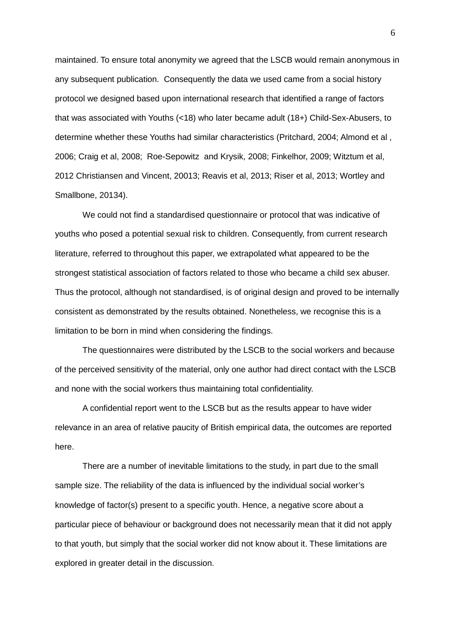maintained. To ensure total anonymity we agreed that the LSCB would remain anonymous in any subsequent publication. Consequently the data we used came from a social history protocol we designed based upon international research that identified a range of factors that was associated with Youths (<18) who later became adult (18+) Child-Sex-Abusers, to determine whether these Youths had similar characteristics (Pritchard, 2004; Almond et al , 2006; Craig et al, 2008; Roe-Sepowitz and Krysik, 2008; Finkelhor, 2009; Witztum et al, 2012 Christiansen and Vincent, 20013; Reavis et al, 2013; Riser et al, 2013; Wortley and Smallbone, 20134).

We could not find a standardised questionnaire or protocol that was indicative of youths who posed a potential sexual risk to children. Consequently, from current research literature, referred to throughout this paper, we extrapolated what appeared to be the strongest statistical association of factors related to those who became a child sex abuser. Thus the protocol, although not standardised, is of original design and proved to be internally consistent as demonstrated by the results obtained. Nonetheless, we recognise this is a limitation to be born in mind when considering the findings.

The questionnaires were distributed by the LSCB to the social workers and because of the perceived sensitivity of the material, only one author had direct contact with the LSCB and none with the social workers thus maintaining total confidentiality.

A confidential report went to the LSCB but as the results appear to have wider relevance in an area of relative paucity of British empirical data, the outcomes are reported here.

There are a number of inevitable limitations to the study, in part due to the small sample size. The reliability of the data is influenced by the individual social worker's knowledge of factor(s) present to a specific youth. Hence, a negative score about a particular piece of behaviour or background does not necessarily mean that it did not apply to that youth, but simply that the social worker did not know about it. These limitations are explored in greater detail in the discussion.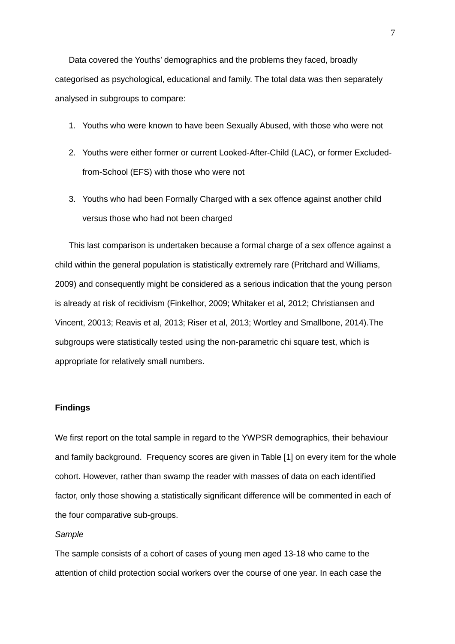Data covered the Youths' demographics and the problems they faced, broadly categorised as psychological, educational and family. The total data was then separately analysed in subgroups to compare:

- 1. Youths who were known to have been Sexually Abused, with those who were not
- 2. Youths were either former or current Looked-After-Child (LAC), or former Excludedfrom-School (EFS) with those who were not
- 3. Youths who had been Formally Charged with a sex offence against another child versus those who had not been charged

This last comparison is undertaken because a formal charge of a sex offence against a child within the general population is statistically extremely rare (Pritchard and Williams, 2009) and consequently might be considered as a serious indication that the young person is already at risk of recidivism (Finkelhor, 2009; Whitaker et al, 2012; Christiansen and Vincent, 20013; Reavis et al, 2013; Riser et al, 2013; Wortley and Smallbone, 2014).The subgroups were statistically tested using the non-parametric chi square test, which is appropriate for relatively small numbers.

# **Findings**

We first report on the total sample in regard to the YWPSR demographics, their behaviour and family background. Frequency scores are given in Table [1] on every item for the whole cohort. However, rather than swamp the reader with masses of data on each identified factor, only those showing a statistically significant difference will be commented in each of the four comparative sub-groups.

#### *Sample*

The sample consists of a cohort of cases of young men aged 13-18 who came to the attention of child protection social workers over the course of one year. In each case the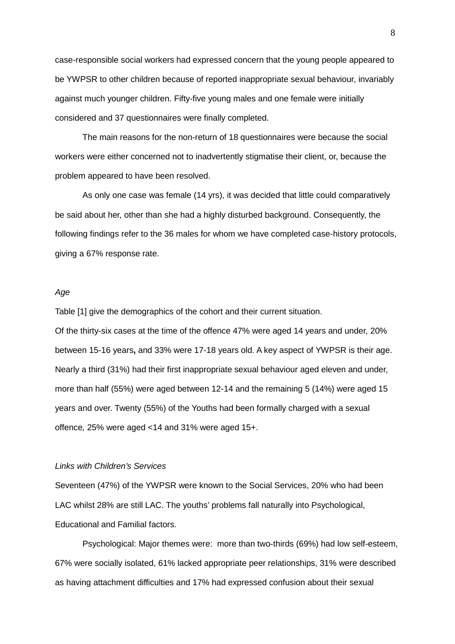case-responsible social workers had expressed concern that the young people appeared to be YWPSR to other children because of reported inappropriate sexual behaviour, invariably against much younger children. Fifty-five young males and one female were initially considered and 37 questionnaires were finally completed.

The main reasons for the non-return of 18 questionnaires were because the social workers were either concerned not to inadvertently stigmatise their client, or, because the problem appeared to have been resolved.

As only one case was female (14 yrs), it was decided that little could comparatively be said about her, other than she had a highly disturbed background. Consequently, the following findings refer to the 36 males for whom we have completed case-history protocols, giving a 67% response rate.

#### *Age*

Table [1] give the demographics of the cohort and their current situation.

Of the thirty-six cases at the time of the offence 47% were aged 14 years and under, 20% between 15-16 years**,** and 33% were 17-18 years old. A key aspect of YWPSR is their age. Nearly a third (31%) had their first inappropriate sexual behaviour aged eleven and under, more than half (55%) were aged between 12-14 and the remaining 5 (14%) were aged 15 years and over. Twenty (55%) of the Youths had been formally charged with a sexual offence*,* 25% were aged <14 and 31% were aged 15+.

## *Links with Children's Services*

Seventeen (47%) of the YWPSR were known to the Social Services, 20% who had been LAC whilst 28% are still LAC. The youths' problems fall naturally into Psychological, Educational and Familial factors.

Psychological: Major themes were: more than two-thirds (69%) had low self-esteem, 67% were socially isolated, 61% lacked appropriate peer relationships, 31% were described as having attachment difficulties and 17% had expressed confusion about their sexual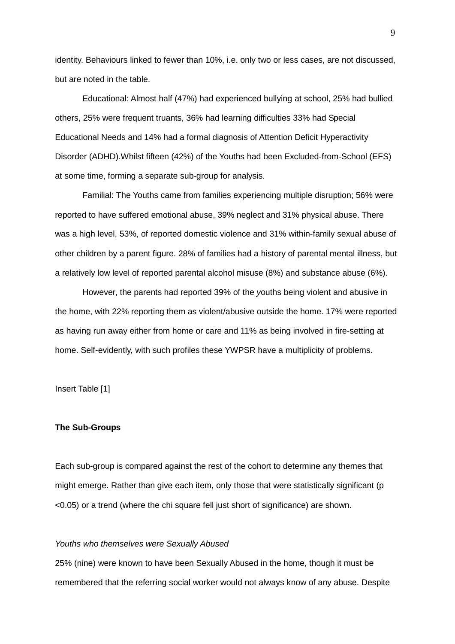identity. Behaviours linked to fewer than 10%, i.e. only two or less cases, are not discussed, but are noted in the table.

Educational: Almost half (47%) had experienced bullying at school, 25% had bullied others, 25% were frequent truants, 36% had learning difficulties 33% had Special Educational Needs and 14% had a formal diagnosis of Attention Deficit Hyperactivity Disorder (ADHD).Whilst fifteen (42%) of the Youths had been Excluded-from-School (EFS) at some time, forming a separate sub-group for analysis.

Familial: The Youths came from families experiencing multiple disruption; 56% were reported to have suffered emotional abuse, 39% neglect and 31% physical abuse. There was a high level, 53%, of reported domestic violence and 31% within-family sexual abuse of other children by a parent figure. 28% of families had a history of parental mental illness, but a relatively low level of reported parental alcohol misuse (8%) and substance abuse (6%).

However, the parents had reported 39% of the *y*ouths being violent and abusive in the home, with 22% reporting them as violent/abusive outside the home. 17% were reported as having run away either from home or care and 11% as being involved in fire-setting at home. Self-evidently, with such profiles these YWPSR have a multiplicity of problems.

Insert Table [1]

#### **The Sub-Groups**

Each sub-group is compared against the rest of the cohort to determine any themes that might emerge. Rather than give each item, only those that were statistically significant (p <0.05) or a trend (where the chi square fell just short of significance) are shown.

## *Youths who themselves were Sexually Abused*

25% (nine) were known to have been Sexually Abused in the home, though it must be remembered that the referring social worker would not always know of any abuse. Despite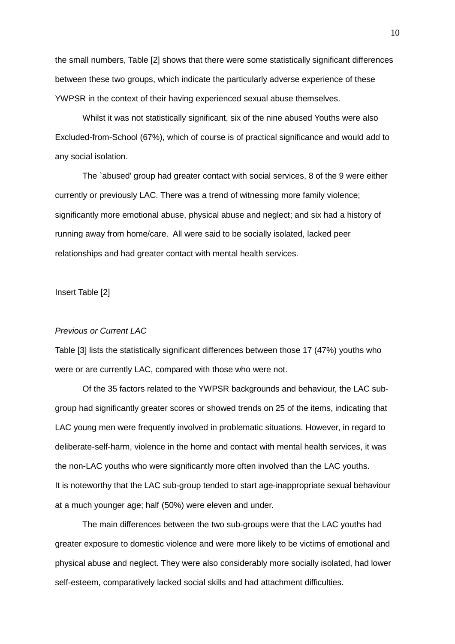the small numbers, Table [2] shows that there were some statistically significant differences between these two groups, which indicate the particularly adverse experience of these YWPSR in the context of their having experienced sexual abuse themselves.

Whilst it was not statistically significant, six of the nine abused Youths were also Excluded-from-School (67%), which of course is of practical significance and would add to any social isolation.

The `abused' group had greater contact with social services, 8 of the 9 were either currently or previously LAC. There was a trend of witnessing more family violence; significantly more emotional abuse, physical abuse and neglect; and six had a history of running away from home/care. All were said to be socially isolated, lacked peer relationships and had greater contact with mental health services.

Insert Table [2]

# *Previous or Current LAC*

Table [3] lists the statistically significant differences between those 17 (47%) youths who were or are currently LAC, compared with those who were not.

Of the 35 factors related to the YWPSR backgrounds and behaviour, the LAC subgroup had significantly greater scores or showed trends on 25 of the items, indicating that LAC young men were frequently involved in problematic situations. However, in regard to deliberate-self-harm, violence in the home and contact with mental health services, it was the non-LAC youths who were significantly more often involved than the LAC youths. It is noteworthy that the LAC sub-group tended to start age-inappropriate sexual behaviour at a much younger age; half (50%) were eleven and under.

The main differences between the two sub-groups were that the LAC youths had greater exposure to domestic violence and were more likely to be victims of emotional and physical abuse and neglect. They were also considerably more socially isolated, had lower self-esteem, comparatively lacked social skills and had attachment difficulties.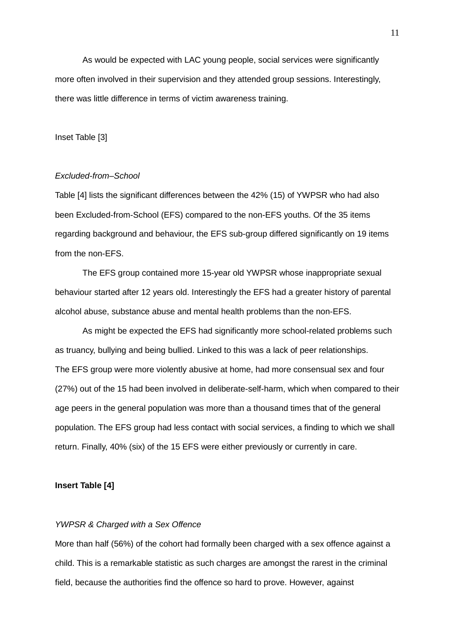As would be expected with LAC young people, social services were significantly more often involved in their supervision and they attended group sessions. Interestingly, there was little difference in terms of victim awareness training.

## Inset Table [3]

### *Excluded-from–School*

Table [4] lists the significant differences between the 42% (15) of YWPSR who had also been Excluded-from-School (EFS) compared to the non-EFS youths. Of the 35 items regarding background and behaviour, the EFS sub-group differed significantly on 19 items from the non-EFS.

The EFS group contained more 15-year old YWPSR whose inappropriate sexual behaviour started after 12 years old. Interestingly the EFS had a greater history of parental alcohol abuse, substance abuse and mental health problems than the non-EFS.

As might be expected the EFS had significantly more school-related problems such as truancy, bullying and being bullied. Linked to this was a lack of peer relationships. The EFS group were more violently abusive at home, had more consensual sex and four (27%) out of the 15 had been involved in deliberate-self-harm, which when compared to their age peers in the general population was more than a thousand times that of the general population. The EFS group had less contact with social services, a finding to which we shall return. Finally, 40% (six) of the 15 EFS were either previously or currently in care.

## **Insert Table [4]**

## *YWPSR & Charged with a Sex Offence*

More than half (56%) of the cohort had formally been charged with a sex offence against a child. This is a remarkable statistic as such charges are amongst the rarest in the criminal field, because the authorities find the offence so hard to prove. However, against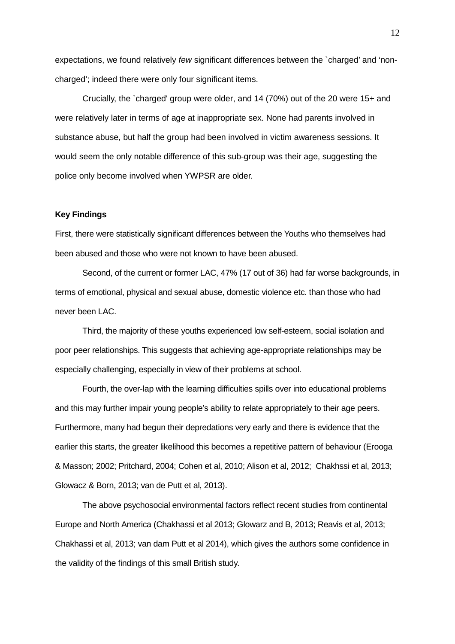expectations, we found relatively *few* significant differences between the `charged' and 'noncharged'; indeed there were only four significant items.

Crucially, the `charged' group were older, and 14 (70%) out of the 20 were 15+ and were relatively later in terms of age at inappropriate sex. None had parents involved in substance abuse, but half the group had been involved in victim awareness sessions. It would seem the only notable difference of this sub-group was their age, suggesting the police only become involved when YWPSR are older.

## **Key Findings**

First, there were statistically significant differences between the Youths who themselves had been abused and those who were not known to have been abused.

Second, of the current or former LAC, 47% (17 out of 36) had far worse backgrounds, in terms of emotional, physical and sexual abuse, domestic violence etc. than those who had never been LAC.

Third, the majority of these youths experienced low self-esteem, social isolation and poor peer relationships. This suggests that achieving age-appropriate relationships may be especially challenging, especially in view of their problems at school.

Fourth, the over-lap with the learning difficulties spills over into educational problems and this may further impair young people's ability to relate appropriately to their age peers. Furthermore, many had begun their depredations very early and there is evidence that the earlier this starts, the greater likelihood this becomes a repetitive pattern of behaviour (Erooga & Masson; 2002; Pritchard, 2004; Cohen et al, 2010; Alison et al, 2012; Chakhssi et al, 2013; Glowacz & Born, 2013; van de Putt et al, 2013).

The above psychosocial environmental factors reflect recent studies from continental Europe and North America (Chakhassi et al 2013; Glowarz and B, 2013; Reavis et al, 2013; Chakhassi et al, 2013; van dam Putt et al 2014), which gives the authors some confidence in the validity of the findings of this small British study.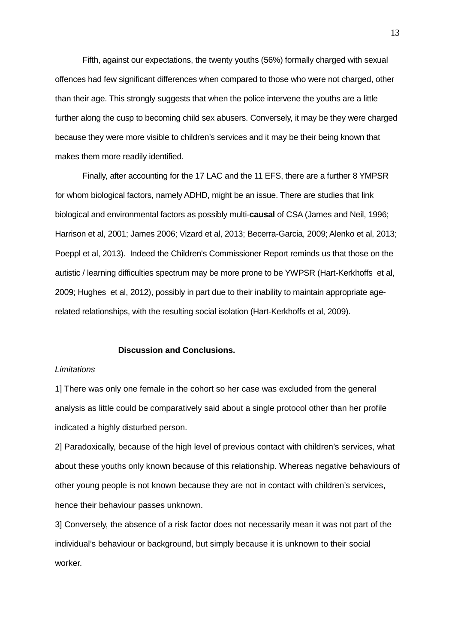Fifth, against our expectations, the twenty youths (56%) formally charged with sexual offences had few significant differences when compared to those who were not charged, other than their age. This strongly suggests that when the police intervene the youths are a little further along the cusp to becoming child sex abusers. Conversely, it may be they were charged because they were more visible to children's services and it may be their being known that makes them more readily identified.

Finally, after accounting for the 17 LAC and the 11 EFS, there are a further 8 YMPSR for whom biological factors, namely ADHD, might be an issue. There are studies that link biological and environmental factors as possibly multi-**causal** of CSA (James and Neil, 1996; Harrison et al, 2001; James 2006; Vizard et al, 2013; Becerra-Garcia, 2009; Alenko et al, 2013; Poeppl et al, 2013). Indeed the Children's Commissioner Report reminds us that those on the autistic / learning difficulties spectrum may be more prone to be YWPSR (Hart-Kerkhoffs et al, 2009; Hughes et al, 2012), possibly in part due to their inability to maintain appropriate agerelated relationships, with the resulting social isolation (Hart-Kerkhoffs et al, 2009).

## **Discussion and Conclusions.**

#### *Limitations*

1] There was only one female in the cohort so her case was excluded from the general analysis as little could be comparatively said about a single protocol other than her profile indicated a highly disturbed person.

2] Paradoxically, because of the high level of previous contact with children's services, what about these youths only known because of this relationship. Whereas negative behaviours of other young people is not known because they are not in contact with children's services, hence their behaviour passes unknown.

3] Conversely, the absence of a risk factor does not necessarily mean it was not part of the individual's behaviour or background, but simply because it is unknown to their social worker.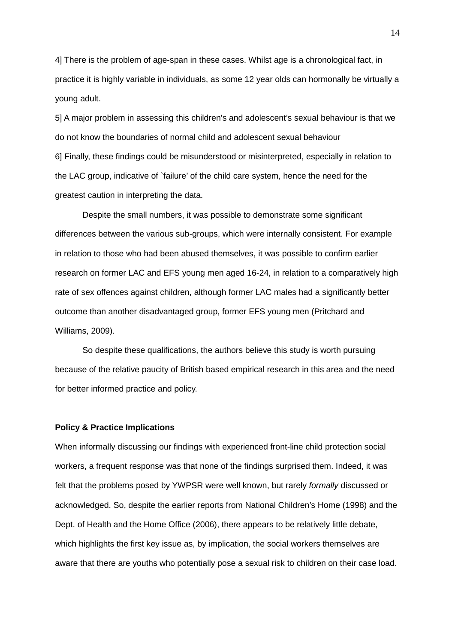4] There is the problem of age-span in these cases. Whilst age is a chronological fact, in practice it is highly variable in individuals, as some 12 year olds can hormonally be virtually a young adult.

5] A major problem in assessing this children's and adolescent's sexual behaviour is that we do not know the boundaries of normal child and adolescent sexual behaviour 6] Finally, these findings could be misunderstood or misinterpreted, especially in relation to the LAC group, indicative of `failure' of the child care system, hence the need for the greatest caution in interpreting the data.

Despite the small numbers, it was possible to demonstrate some significant differences between the various sub-groups, which were internally consistent. For example in relation to those who had been abused themselves, it was possible to confirm earlier research on former LAC and EFS young men aged 16-24, in relation to a comparatively high rate of sex offences against children, although former LAC males had a significantly better outcome than another disadvantaged group, former EFS young men (Pritchard and Williams, 2009).

So despite these qualifications, the authors believe this study is worth pursuing because of the relative paucity of British based empirical research in this area and the need for better informed practice and policy.

#### **Policy & Practice Implications**

When informally discussing our findings with experienced front-line child protection social workers, a frequent response was that none of the findings surprised them. Indeed, it was felt that the problems posed by YWPSR were well known, but rarely *formally* discussed or acknowledged. So, despite the earlier reports from National Children's Home (1998) and the Dept. of Health and the Home Office (2006), there appears to be relatively little debate, which highlights the first key issue as, by implication, the social workers themselves are aware that there are youths who potentially pose a sexual risk to children on their case load.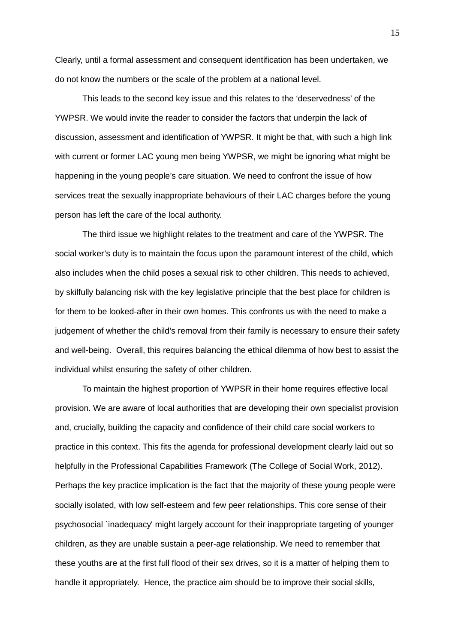Clearly, until a formal assessment and consequent identification has been undertaken, we do not know the numbers or the scale of the problem at a national level.

This leads to the second key issue and this relates to the 'deservedness' of the YWPSR. We would invite the reader to consider the factors that underpin the lack of discussion, assessment and identification of YWPSR. It might be that, with such a high link with current or former LAC young men being YWPSR, we might be ignoring what might be happening in the young people's care situation. We need to confront the issue of how services treat the sexually inappropriate behaviours of their LAC charges before the young person has left the care of the local authority.

The third issue we highlight relates to the treatment and care of the YWPSR. The social worker's duty is to maintain the focus upon the paramount interest of the child, which also includes when the child poses a sexual risk to other children. This needs to achieved, by skilfully balancing risk with the key legislative principle that the best place for children is for them to be looked-after in their own homes. This confronts us with the need to make a judgement of whether the child's removal from their family is necessary to ensure their safety and well-being. Overall, this requires balancing the ethical dilemma of how best to assist the individual whilst ensuring the safety of other children.

To maintain the highest proportion of YWPSR in their home requires effective local provision. We are aware of local authorities that are developing their own specialist provision and, crucially, building the capacity and confidence of their child care social workers to practice in this context. This fits the agenda for professional development clearly laid out so helpfully in the Professional Capabilities Framework (The College of Social Work, 2012). Perhaps the key practice implication is the fact that the majority of these young people were socially isolated, with low self-esteem and few peer relationships. This core sense of their psychosocial `inadequacy' might largely account for their inappropriate targeting of younger children, as they are unable sustain a peer-age relationship. We need to remember that these youths are at the first full flood of their sex drives, so it is a matter of helping them to handle it appropriately. Hence, the practice aim should be to improve their social skills,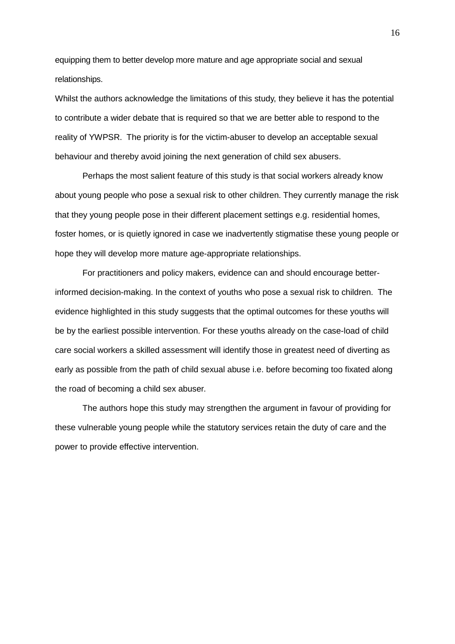equipping them to better develop more mature and age appropriate social and sexual relationships.

Whilst the authors acknowledge the limitations of this study, they believe it has the potential to contribute a wider debate that is required so that we are better able to respond to the reality of YWPSR. The priority is for the victim-abuser to develop an acceptable sexual behaviour and thereby avoid joining the next generation of child sex abusers.

Perhaps the most salient feature of this study is that social workers already know about young people who pose a sexual risk to other children. They currently manage the risk that they young people pose in their different placement settings e.g. residential homes, foster homes, or is quietly ignored in case we inadvertently stigmatise these young people or hope they will develop more mature age-appropriate relationships.

For practitioners and policy makers, evidence can and should encourage betterinformed decision-making. In the context of youths who pose a sexual risk to children. The evidence highlighted in this study suggests that the optimal outcomes for these youths will be by the earliest possible intervention. For these youths already on the case-load of child care social workers a skilled assessment will identify those in greatest need of diverting as early as possible from the path of child sexual abuse i.e. before becoming too fixated along the road of becoming a child sex abuser.

The authors hope this study may strengthen the argument in favour of providing for these vulnerable young people while the statutory services retain the duty of care and the power to provide effective intervention.

16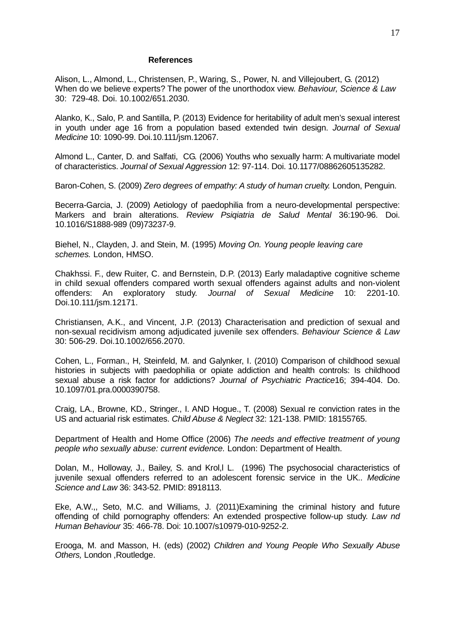#### **References**

Alison, L., Almond, L., Christensen, P., Waring, S., Power, N. and Villejoubert, G. (2012) When do we believe experts? The power of the unorthodox view. *Behaviour, Science & Law* 30: 729-48. Doi. 10.1002/651.2030.

Alanko, K., Salo, P. and Santilla, P. (2013) Evidence for heritability of adult men's sexual interest in youth under age 16 from a population based extended twin design. *Journal of Sexual Medicine* 10: 1090-99. Doi.10.111/jsm.12067.

Almond L., Canter, D. and Salfati, CG. (2006) Youths who sexually harm: A multivariate model of characteristics. *Journal of Sexual Aggression* 12: 97-114. Doi. 10.1177/08862605135282.

Baron-Cohen, S. (2009) *Zero degrees of empathy: A study of human cruelty.* London, Penguin.

Becerra-Garcia, J. (2009) Aetiology of paedophilia from a neuro-developmental perspective: Markers and brain alterations. *Review Psiqiatria de Salud Mental* 36:190-96. Doi. 10.1016/S1888-989 (09)73237-9.

Biehel, N., Clayden, J. and Stein, M. (1995) *Moving On. Young people leaving care schemes.* London, HMSO.

Chakhssi. F., dew Ruiter, C. and Bernstein, D.P. (2013) Early maladaptive cognitive scheme in child sexual offenders compared worth sexual offenders against adults and non-violent offenders: An exploratory study. *Journal of Sexual Medicine* 10: 2201-10. Doi.10.111/jsm.12171.

Christiansen, A.K., and Vincent, J.P. (2013) Characterisation and prediction of sexual and non-sexual recidivism among adjudicated juvenile sex offenders. *Behaviour Science & Law*  30: 506-29. Doi.10.1002/656.2070.

Cohen, L., Forman., H, Steinfeld, M. and Galynker, I. (2010) Comparison of childhood sexual histories in subjects with paedophilia or opiate addiction and health controls: Is childhood sexual abuse a risk factor for addictions? *Journal of Psychiatric Practice*16; 394-404. Do. 10.1097/01.pra.0000390758.

Craig, LA., Browne, KD., Stringer., I. AND Hogue., T. (2008) Sexual re conviction rates in the US and actuarial risk estimates. *Child Abuse & Neglect* 32: 121-138. PMID: 18155765.

Department of Health and Home Office (2006) *The needs and effective treatment of young people who sexually abuse: current evidence.* London: Department of Health.

Dolan, M., Holloway, J., Bailey, S. and Krol, I. (1996) The psychosocial characteristics of juvenile sexual offenders referred to an adolescent forensic service in the UK.. *Medicine Science and Law* 36: 343-52. PMID: 8918113.

Eke, A.W.,, Seto, M.C. and Williams, J. (2011)Examining the criminal history and future offending of child pornography offenders: An extended prospective follow-up study. *Law nd Human Behaviour* 35: 466-78. Doi: 10.1007/s10979-010-9252-2.

Erooga, M. and Masson, H. (eds) (2002) *Children and Young People Who Sexually Abuse Others,* London ,Routledge.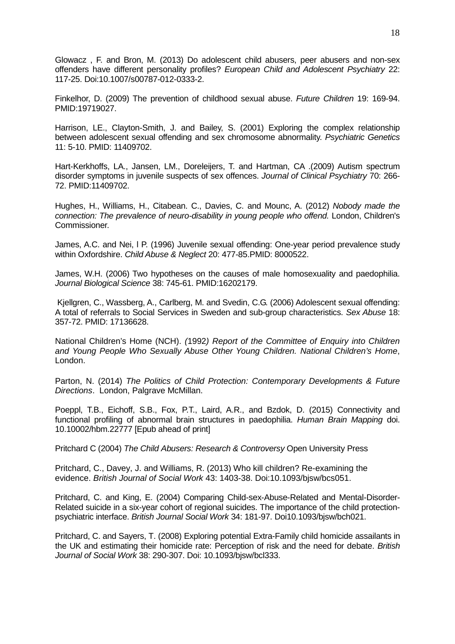Glowacz , F. and Bron, M. (2013) Do adolescent child abusers, peer abusers and non-sex offenders have different personality profiles? *European Child and Adolescent Psychiatry* 22: 117-25. Doi:10.1007/s00787-012-0333-2.

Finkelhor, D. (2009) The prevention of childhood sexual abuse. *Future Children* 19: 169-94. PMID:19719027.

Harrison, LE., Clayton-Smith, J. and Bailey, S. (2001) Exploring the complex relationship between adolescent sexual offending and sex chromosome abnormality. *Psychiatric Genetics* 11: 5-10. PMID: 11409702.

Hart-Kerkhoffs, LA., Jansen, LM., Doreleijers, T. and Hartman, CA .(2009) Autism spectrum disorder symptoms in juvenile suspects of sex offences. *Journal of Clinical Psychiatry* 70: 266- 72. PMID:11409702.

Hughes, H., Williams, H., Citabean. C., Davies, C. and Mounc, A. (2012) *Nobody made the connection: The prevalence of neuro-disability in young people who offend.* London, Children's Commissioner.

James, A.C. and Nei, l P. (1996) Juvenile sexual offending: One-year period prevalence study within Oxfordshire. *Child Abuse & Neglect* 20: 477-85.PMID: 8000522.

James, W.H. (2006) Two hypotheses on the causes of male homosexuality and paedophilia. *Journal Biological Science* 38: 745-61. PMID:16202179.

Kjellgren, C., Wassberg, A., Carlberg, M. and Svedin, C.G. (2006) Adolescent sexual offending: A total of referrals to Social Services in Sweden and sub-group characteristics. *Sex Abuse* 18: 357-72. PMID: 17136628.

National Children's Home (NCH). *(*1992*) Report of the Committee of Enquiry into Children and Young People Who Sexually Abuse Other Young Children. National Children's Home*, London.

Parton, N. (2014) *The Politics of Child Protection: Contemporary Developments & Future Directions*. London, Palgrave McMillan.

Poeppl, T.B., Eichoff, S.B., Fox, P.T., Laird, A.R., and Bzdok, D. (2015) Connectivity and functional profiling of abnormal brain structures in paedophilia. *Human Brain Mapping* doi. 10.10002/hbm.22777 [Epub ahead of print]

Pritchard C (2004) *The Child Abusers: Research & Controversy* Open University Press

Pritchard, C., Davey, J. and Williams, R. (2013) Who kill children? Re-examining the evidence. *British Journal of Social Work* 43: 1403-38. Doi:10.1093/bjsw/bcs051.

Pritchard, C. and King, E. (2004) Comparing Child-sex-Abuse-Related and Mental-Disorder-Related suicide in a six-year cohort of regional suicides. The importance of the child protectionpsychiatric interface. *British Journal Social Work* 34: 181-97. Doi10.1093/bjsw/bch021.

Pritchard, C. and Sayers, T. (2008) Exploring potential Extra-Family child homicide assailants in the UK and estimating their homicide rate: Perception of risk and the need for debate. *British Journal of Social Work* 38: 290-307. Doi: 10.1093/bjsw/bcl333.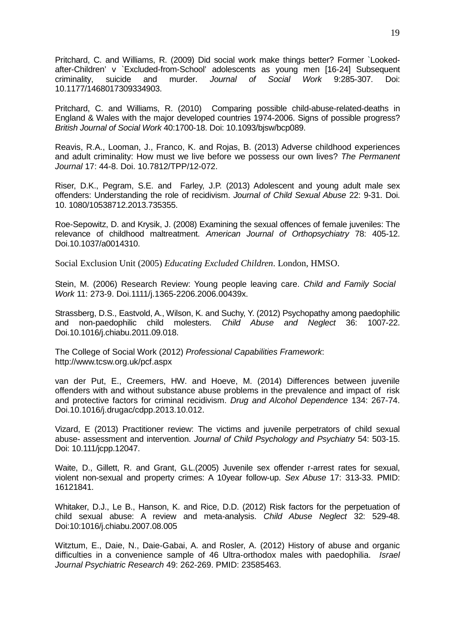Pritchard, C. and Williams, R. (2009) Did social work make things better? Former `Lookedafter-Children' v `Excluded-from-School' adolescents as young men [16-24] Subsequent criminality, suicide and murder. Journal of Social Work 9:285-307. Doi: criminality, suicide and murder. *Journal of Social Work* 9:285-307. Doi: 10.1177/1468017309334903.

Pritchard, C. and Williams, R. (2010) Comparing possible child-abuse-related-deaths in England & Wales with the major developed countries 1974-2006. Signs of possible progress? *British Journal of Social Work* 40:1700-18. Doi: 10.1093/bjsw/bcp089.

Reavis, R.A., Looman, J., Franco, K. and Rojas, B. (2013) Adverse childhood experiences and adult criminality: How must we live before we possess our own lives? *The Permanent Journal* 17: 44-8. Doi. 10.7812/TPP/12-072.

Riser, D.K., Pegram, S.E. and Farley, J.P. (2013) Adolescent and young adult male sex offenders: Understanding the role of recidivism. *Journal of Child Sexual Abuse* 22: 9-31. Doi. 10. 1080/10538712.2013.735355.

Roe-Sepowitz, D. and Krysik, J. (2008) Examining the sexual offences of female juveniles: The relevance of childhood maltreatment. *American Journal of Orthopsychiatry* 78: 405-12. Doi.10.1037/a0014310.

Social Exclusion Unit (2005) *Educating Excluded Children*. London, HMSO.

Stein, M. (2006) Research Review: Young people leaving care. *Child and Family Social Work* 11: 273-9. Doi.1111/j.1365-2206.2006.00439x.

Strassberg, D.S., Eastvold, A., Wilson, K. and Suchy, Y. (2012) Psychopathy among paedophilic and non-paedophilic child molesters. *Child Abuse and Neglect* 36: 1007-22. Doi.10.1016/j.chiabu.2011.09.018.

The College of Social Work (2012) *Professional Capabilities Framework*: http://www.tcsw.org.uk/pcf.aspx

van der Put, E., Creemers, HW. and Hoeve, M. (2014) Differences between juvenile offenders with and without substance abuse problems in the prevalence and impact of risk and protective factors for criminal recidivism. *Drug and Alcohol Dependence* 134: 267-74. Doi.10.1016/j.drugac/cdpp.2013.10.012.

Vizard, E (2013) Practitioner review: The victims and juvenile perpetrators of child sexual abuse- assessment and intervention. *Journal of Child Psychology and Psychiatry* 54: 503-15. Doi: 10.111/jcpp.12047.

Waite, D., Gillett, R. and Grant, G.L.(2005) Juvenile sex offender r-arrest rates for sexual, violent non-sexual and property crimes: A 10year follow-up. *Sex Abuse* 17: 313-33. PMID: 16121841.

Whitaker, D.J., Le B., Hanson, K. and Rice, D.D. (2012) Risk factors for the perpetuation of child sexual abuse: A review and meta-analysis. *Child Abuse Neglect* 32: 529-48. Doi:10:1016/j.chiabu.2007.08.005

Witztum, E., Daie, N., Daie-Gabai, A. and Rosler, A. (2012) History of abuse and organic difficulties in a convenience sample of 46 Ultra-orthodox males with paedophilia. *Israel Journal Psychiatric Research* 49: 262-269. PMID: 23585463.